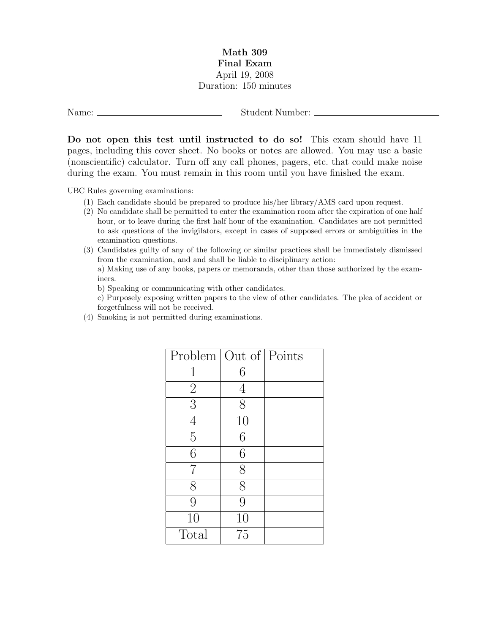## Math 309 Final Exam April 19, 2008 Duration: 150 minutes

Name: Student Number:

Do not open this test until instructed to do so! This exam should have 11 pages, including this cover sheet. No books or notes are allowed. You may use a basic (nonscientific) calculator. Turn off any call phones, pagers, etc. that could make noise during the exam. You must remain in this room until you have finished the exam.

UBC Rules governing examinations:

- (1) Each candidate should be prepared to produce his/her library/AMS card upon request.
- (2) No candidate shall be permitted to enter the examination room after the expiration of one half hour, or to leave during the first half hour of the examination. Candidates are not permitted to ask questions of the invigilators, except in cases of supposed errors or ambiguities in the examination questions.
- (3) Candidates guilty of any of the following or similar practices shall be immediately dismissed from the examination, and and shall be liable to disciplinary action:

a) Making use of any books, papers or memoranda, other than those authorized by the examiners.

b) Speaking or communicating with other candidates.

c) Purposely exposing written papers to the view of other candidates. The plea of accident or forgetfulness will not be received.

(4) Smoking is not permitted during examinations.

| Problem Out of Points |    |  |
|-----------------------|----|--|
| 1                     | 6  |  |
| $\overline{2}$        | 4  |  |
| $\overline{3}$        | 8  |  |
| $\overline{4}$        | 10 |  |
| $\overline{5}$        | 6  |  |
| 6                     | 6  |  |
| 7                     | 8  |  |
| 8                     | 8  |  |
| 9                     | 9  |  |
| 10                    | 10 |  |
| Total                 | 75 |  |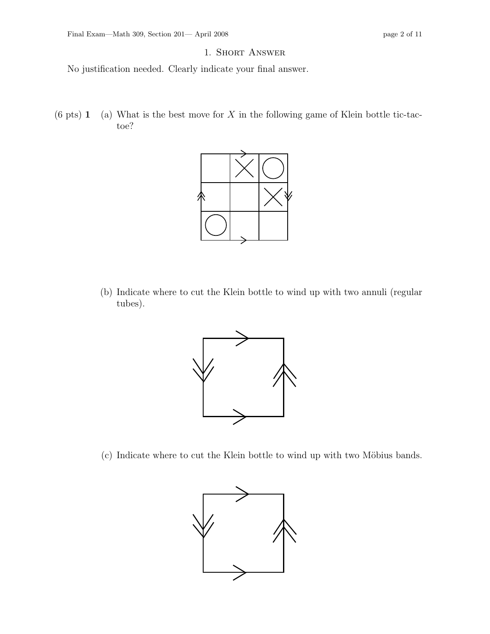## 1. Short Answer

No justification needed. Clearly indicate your final answer.

 $(6 \text{ pts})$  1 (a) What is the best move for X in the following game of Klein bottle tic-tactoe?



(b) Indicate where to cut the Klein bottle to wind up with two annuli (regular tubes).



(c) Indicate where to cut the Klein bottle to wind up with two Möbius bands.

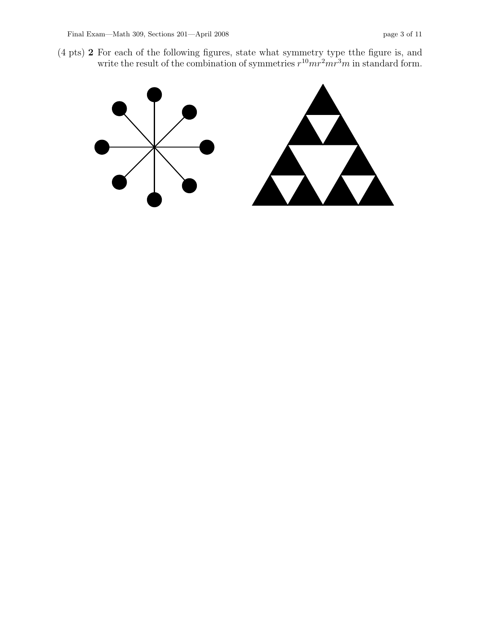(4 pts) 2 For each of the following figures, state what symmetry type tthe figure is, and write the result of the combination of symmetries  $r^{10}mr^2mr^3m$  in standard form.

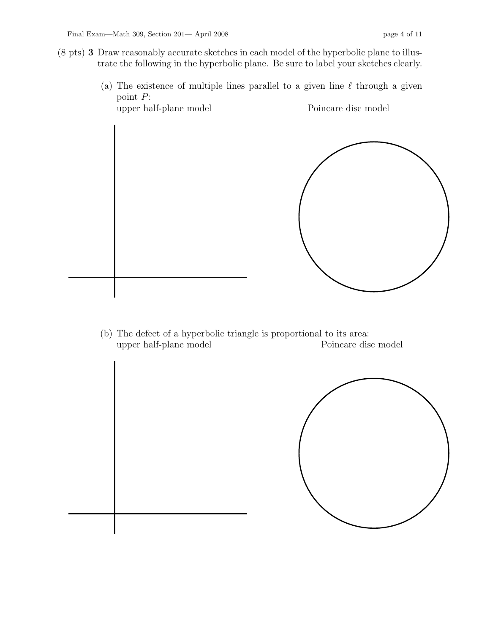- (8 pts) 3 Draw reasonably accurate sketches in each model of the hyperbolic plane to illustrate the following in the hyperbolic plane. Be sure to label your sketches clearly.
	- (a) The existence of multiple lines parallel to a given line  $\ell$  through a given point P:



(b) The defect of a hyperbolic triangle is proportional to its area: upper half-plane model Poincare disc model

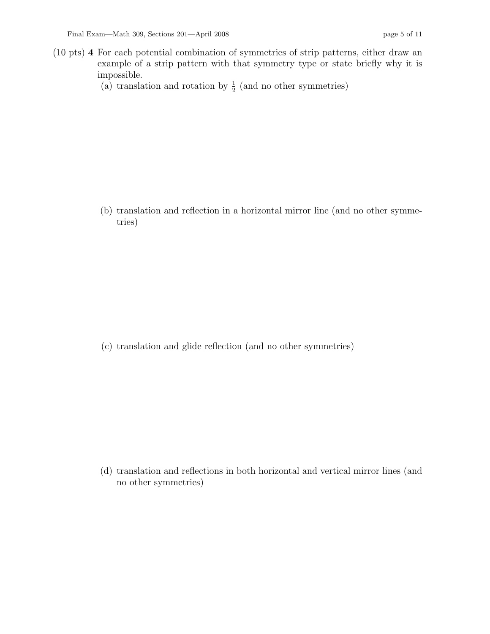- (10 pts) 4 For each potential combination of symmetries of strip patterns, either draw an example of a strip pattern with that symmetry type or state briefly why it is impossible.
	- (a) translation and rotation by  $\frac{1}{2}$  (and no other symmetries)

(b) translation and reflection in a horizontal mirror line (and no other symmetries)

(c) translation and glide reflection (and no other symmetries)

(d) translation and reflections in both horizontal and vertical mirror lines (and no other symmetries)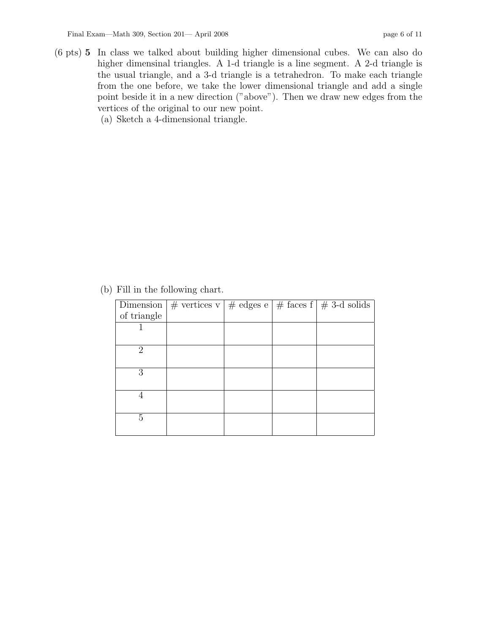(6 pts) 5 In class we talked about building higher dimensional cubes. We can also do higher dimensinal triangles. A 1-d triangle is a line segment. A 2-d triangle is the usual triangle, and a 3-d triangle is a tetrahedron. To make each triangle from the one before, we take the lower dimensional triangle and add a single point beside it in a new direction ("above"). Then we draw new edges from the vertices of the original to our new point.

(a) Sketch a 4-dimensional triangle.

(b) Fill in the following chart.

|                             | Dimension $  \#$ vertices v $  \#$ edges e $  \#$ faces $\overline{f}   \# 3$ -d solids |  |  |
|-----------------------------|-----------------------------------------------------------------------------------------|--|--|
| of triangle                 |                                                                                         |  |  |
|                             |                                                                                         |  |  |
|                             |                                                                                         |  |  |
| $\mathcal{D}_{\mathcal{L}}$ |                                                                                         |  |  |
|                             |                                                                                         |  |  |
| 3                           |                                                                                         |  |  |
|                             |                                                                                         |  |  |
|                             |                                                                                         |  |  |
|                             |                                                                                         |  |  |
| 5                           |                                                                                         |  |  |
|                             |                                                                                         |  |  |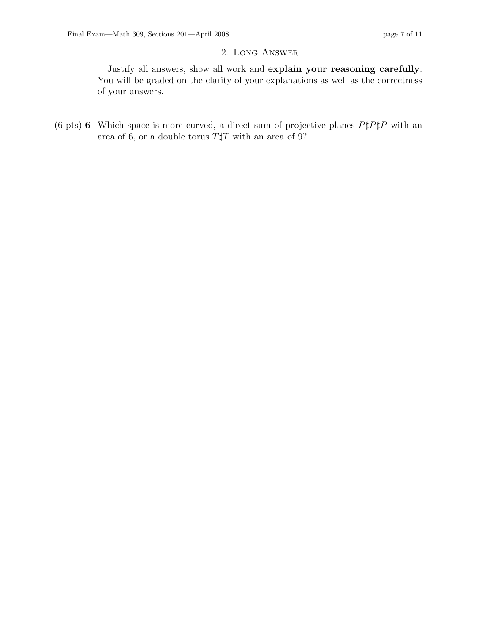## 2. Long Answer

Justify all answers, show all work and explain your reasoning carefully. You will be graded on the clarity of your explanations as well as the correctness of your answers.

(6 pts) 6 Which space is more curved, a direct sum of projective planes  $P \sharp P \sharp P$  with an area of 6, or a double torus  $T \sharp T$  with an area of 9?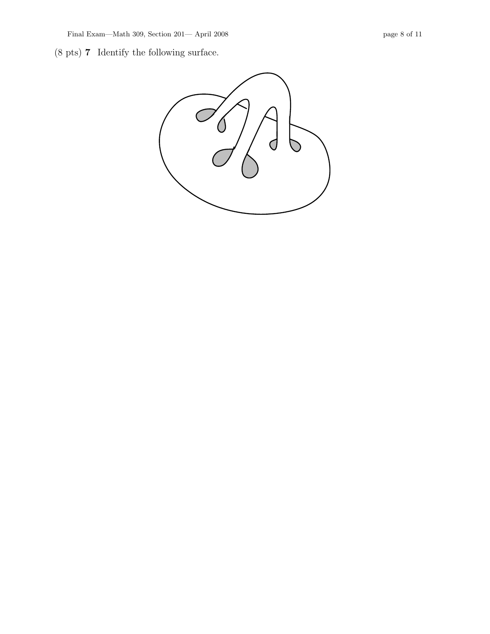(8 pts) 7 Identify the following surface.

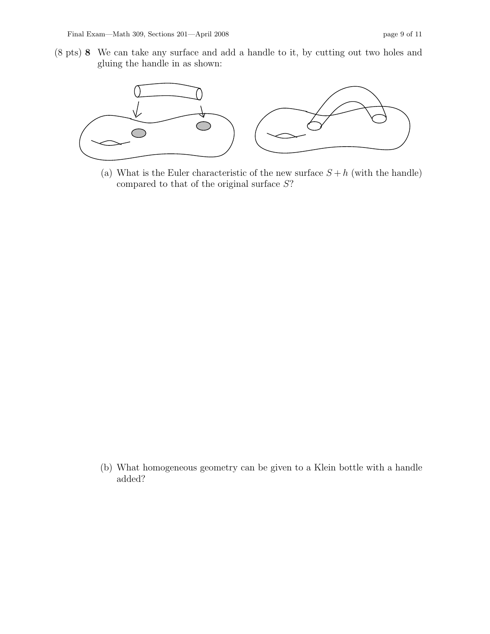(8 pts) 8 We can take any surface and add a handle to it, by cutting out two holes and gluing the handle in as shown:



(a) What is the Euler characteristic of the new surface  $S + h$  (with the handle) compared to that of the original surface S?

(b) What homogeneous geometry can be given to a Klein bottle with a handle added?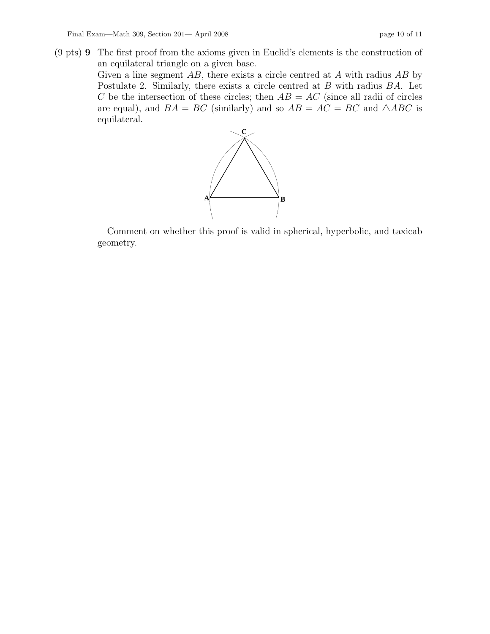(9 pts) 9 The first proof from the axioms given in Euclid's elements is the construction of an equilateral triangle on a given base.

> Given a line segment  $AB$ , there exists a circle centred at  $A$  with radius  $AB$  by Postulate 2. Similarly, there exists a circle centred at B with radius BA. Let C be the intersection of these circles; then  $AB = AC$  (since all radii of circles are equal), and  $BA = BC$  (similarly) and so  $AB = AC = BC$  and  $\triangle ABC$  is equilateral.



Comment on whether this proof is valid in spherical, hyperbolic, and taxicab geometry.